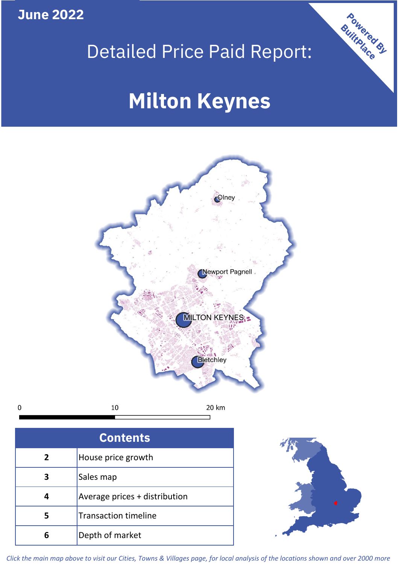**June 2022**

# Detailed Price Paid Report:

# **Milton Keynes**



 $10\,$ 20 km  $\mathbf 0$ 

| <b>Contents</b> |                               |  |  |
|-----------------|-------------------------------|--|--|
| $\overline{2}$  | House price growth            |  |  |
| 3               | Sales map                     |  |  |
|                 | Average prices + distribution |  |  |
| 5               | <b>Transaction timeline</b>   |  |  |
| ĥ               | Depth of market               |  |  |



Powered By

*Click the main map above to visit our Cities, Towns & Villages page, for local analysis of the locations shown and over 2000 more*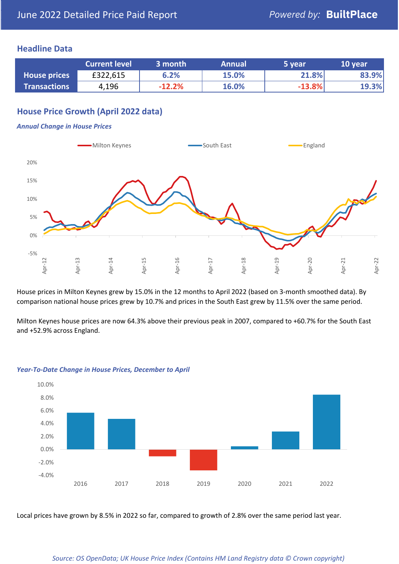# **Headline Data**

|                     | <b>Current level</b> | 3 month  | <b>Annual</b> | 5 year   | 10 year |
|---------------------|----------------------|----------|---------------|----------|---------|
| <b>House prices</b> | £322,615             | 6.2%     | 15.0%         | 21.8%    | 83.9%   |
| <b>Transactions</b> | 4,196                | $-12.2%$ | 16.0%         | $-13.8%$ | 19.3%   |

# **House Price Growth (April 2022 data)**

#### *Annual Change in House Prices*



House prices in Milton Keynes grew by 15.0% in the 12 months to April 2022 (based on 3-month smoothed data). By comparison national house prices grew by 10.7% and prices in the South East grew by 11.5% over the same period.

Milton Keynes house prices are now 64.3% above their previous peak in 2007, compared to +60.7% for the South East and +52.9% across England.



## *Year-To-Date Change in House Prices, December to April*

Local prices have grown by 8.5% in 2022 so far, compared to growth of 2.8% over the same period last year.

## *Source: OS OpenData; UK House Price Index (Contains HM Land Registry data © Crown copyright)*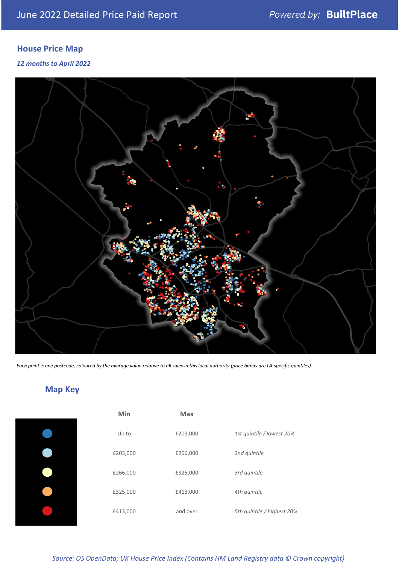# **House Price Map**

# *12 months to April 2022*



*Each point is one postcode, coloured by the average value relative to all sales in this local authority (price bands are LA-specific quintiles).*

**Map Key**

| Min      | <b>Max</b> |                            |
|----------|------------|----------------------------|
| Up to    | £203,000   | 1st quintile / lowest 20%  |
| £203,000 | £266,000   | 2nd quintile               |
| £266,000 | £325,000   | 3rd quintile               |
| £325,000 | £413,000   | 4th quintile               |
| £413,000 | and over   | 5th quintile / highest 20% |

#### *Source: OS OpenData; UK House Price Index (Contains HM Land Registry data © Crown copyright)*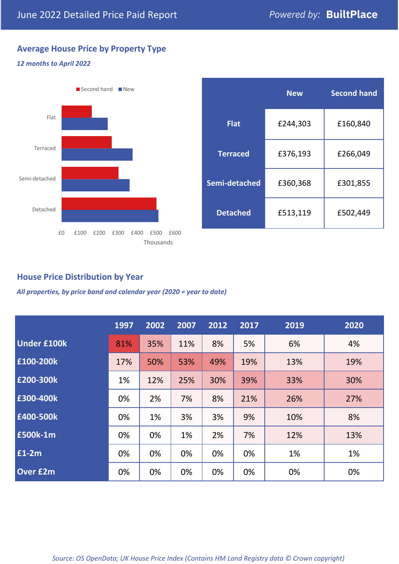# **Average House Price by Property Type**

# *12 months to April 2022*



|                 | <b>New</b> | <b>Second hand</b> |  |  |
|-----------------|------------|--------------------|--|--|
| <b>Flat</b>     | £244,303   | £160,840           |  |  |
| <b>Terraced</b> | £376,193   | £266,049           |  |  |
| Semi-detached   | £360,368   | £301,855           |  |  |
| <b>Detached</b> | £513,119   | £502,449           |  |  |

# **House Price Distribution by Year**

*All properties, by price band and calendar year (2020 = year to date)*

|                    | 1997 | 2002 | 2007 | 2012 | 2017 | 2019 | 2020 |
|--------------------|------|------|------|------|------|------|------|
| <b>Under £100k</b> | 81%  | 35%  | 11%  | 8%   | 5%   | 6%   | 4%   |
| £100-200k          | 17%  | 50%  | 53%  | 49%  | 19%  | 13%  | 19%  |
| E200-300k          | 1%   | 12%  | 25%  | 30%  | 39%  | 33%  | 30%  |
| £300-400k          | 0%   | 2%   | 7%   | 8%   | 21%  | 26%  | 27%  |
| £400-500k          | 0%   | 1%   | 3%   | 3%   | 9%   | 10%  | 8%   |
| £500k-1m           | 0%   | 0%   | 1%   | 2%   | 7%   | 12%  | 13%  |
| £1-2m              | 0%   | 0%   | 0%   | 0%   | 0%   | 1%   | 1%   |
| <b>Over £2m</b>    | 0%   | 0%   | 0%   | 0%   | 0%   | 0%   | 0%   |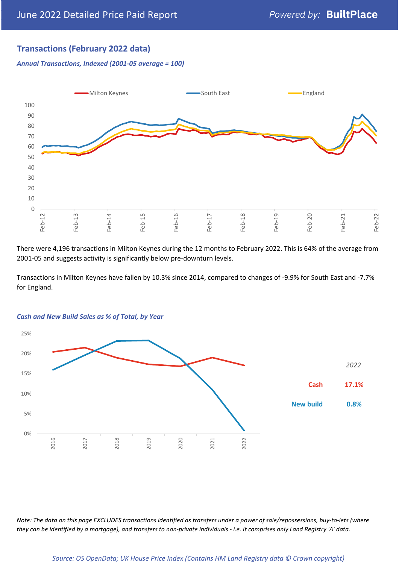# **Transactions (February 2022 data)**

*Annual Transactions, Indexed (2001-05 average = 100)*



There were 4,196 transactions in Milton Keynes during the 12 months to February 2022. This is 64% of the average from 2001-05 and suggests activity is significantly below pre-downturn levels.

Transactions in Milton Keynes have fallen by 10.3% since 2014, compared to changes of -9.9% for South East and -7.7% for England.



#### *Cash and New Build Sales as % of Total, by Year*

*Note: The data on this page EXCLUDES transactions identified as transfers under a power of sale/repossessions, buy-to-lets (where they can be identified by a mortgage), and transfers to non-private individuals - i.e. it comprises only Land Registry 'A' data.*